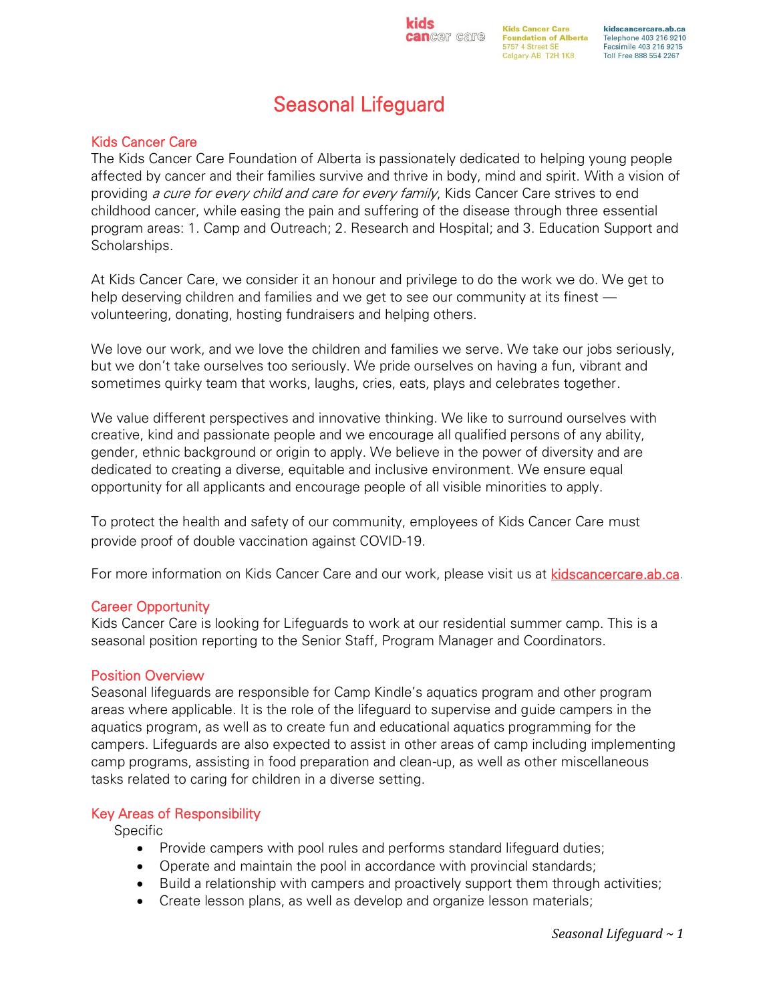**Kids Cancer Care Can**Cell Calle Foundation of Alberta 5757 4 Street SE Calgary AB T2H 1K8

kidscancercare.ab.ca Telephone 403 216 9210 Facsimile 403 216 9215 Toll Free 888 554 2267

# Seasonal Lifeguard

# Kids Cancer Care

The Kids Cancer Care Foundation of Alberta is passionately dedicated to helping young people affected by cancer and their families survive and thrive in body, mind and spirit. With a vision of providing a cure for every child and care for every family, Kids Cancer Care strives to end childhood cancer, while easing the pain and suffering of the disease through three essential program areas: 1. Camp and Outreach; 2. Research and Hospital; and 3. Education Support and Scholarships.

At Kids Cancer Care, we consider it an honour and privilege to do the work we do. We get to help deserving children and families and we get to see our community at its finest volunteering, donating, hosting fundraisers and helping others.

We love our work, and we love the children and families we serve. We take our jobs seriously, but we don't take ourselves too seriously. We pride ourselves on having a fun, vibrant and sometimes quirky team that works, laughs, cries, eats, plays and celebrates together.

We value different perspectives and innovative thinking. We like to surround ourselves with creative, kind and passionate people and we encourage all qualified persons of any ability, gender, ethnic background or origin to apply. We believe in the power of diversity and are dedicated to creating a diverse, equitable and inclusive environment. We ensure equal opportunity for all applicants and encourage people of all visible minorities to apply.

To protect the health and safety of our community, employees of Kids Cancer Care must provide proof of double vaccination against COVID-19.

For more information on Kids Cancer Care and our work, please visit us at [kidscancercare.ab.ca.](http://www.kidscancercare.ab.ca/)

#### Career Opportunity

Kids Cancer Care is looking for Lifeguards to work at our residential summer camp. This is a seasonal position reporting to the Senior Staff, Program Manager and Coordinators.

#### Position Overview

Seasonal lifeguards are responsible for Camp Kindle's aquatics program and other program areas where applicable. It is the role of the lifeguard to supervise and guide campers in the aquatics program, as well as to create fun and educational aquatics programming for the campers. Lifeguards are also expected to assist in other areas of camp including implementing camp programs, assisting in food preparation and clean-up, as well as other miscellaneous tasks related to caring for children in a diverse setting.

#### Key Areas of Responsibility

Specific

- Provide campers with pool rules and performs standard lifeguard duties;
- Operate and maintain the pool in accordance with provincial standards;
- Build a relationship with campers and proactively support them through activities;
- Create lesson plans, as well as develop and organize lesson materials;